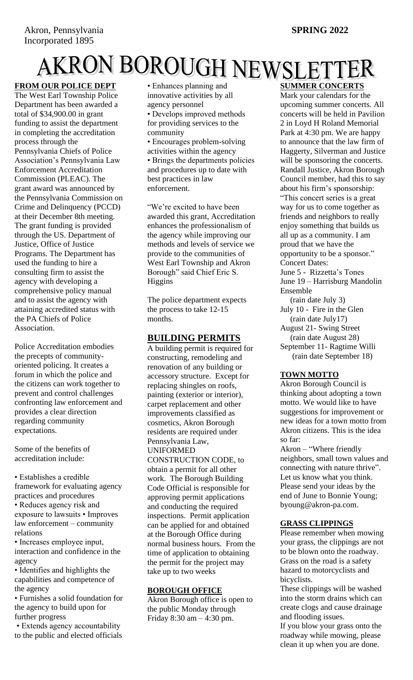# AKRON BOROUGH NEWSLETTER

The West Earl Township Police Department has been awarded a total of \$34,900.00 in grant funding to assist the department in completing the accreditation process through the Pennsylvania Chiefs of Police Association's Pennsylvania Law Enforcement Accreditation Commission (PLEAC). The grant award was announced by the Pennsylvania Commission on Crime and Delinquency (PCCD) at their December 8th meeting. The grant funding is provided through the US. Department of Justice, Office of Justice Programs. The Department has used the funding to hire a consulting firm to assist the agency with developing a comprehensive policy manual and to assist the agency with attaining accredited status with the PA Chiefs of Police Association.

Police Accreditation embodies the precepts of communityoriented policing. It creates a forum in which the police and the citizens can work together to prevent and control challenges confronting law enforcement and provides a clear direction regarding community expectations.

Some of the benefits of accreditation include:

• Establishes a credible framework for evaluating agency practices and procedures • Reduces agency risk and exposure to lawsuits • Improves law enforcement – community relations

• Increases employee input, interaction and confidence in the agency

• Identifies and highlights the capabilities and competence of the agency

• Furnishes a solid foundation for the agency to build upon for further progress

• Extends agency accountability to the public and elected officials • Enhances planning and innovative activities by all agency personnel • Develops improved methods for providing services to the community • Encourages problem-solving activities within the agency • Brings the departments policies and procedures up to date with

best practices in law enforcement.

"We're excited to have been awarded this grant, Accreditation enhances the professionalism of the agency while improving our methods and levels of service we provide to the communities of West Earl Township and Akron Borough" said Chief Eric S. Higgins

The police department expects the process to take 12-15 months.

# **BUILDING PERMITS**

A building permit is required for constructing, remodeling and renovation of any building or accessory structure. Except for replacing shingles on roofs, painting (exterior or interior), carpet replacement and other improvements classified as cosmetics, Akron Borough residents are required under Pennsylvania Law, UNIFORMED CONSTRUCTION CODE, to obtain a permit for all other work. The Borough Building Code Official is responsible for approving permit applications and conducting the required inspections. Permit application can be applied for and obtained at the Borough Office during normal business hours. From the time of application to obtaining the permit for the project may take up to two weeks

# **BOROUGH OFFICE**

Akron Borough office is open to the public Monday through Friday 8:30 am – 4:30 pm.

**SUMMER CONCERTS** Mark your calendars for the upcoming summer concerts. All concerts will be held in Pavilion 2 in Loyd H Roland Memorial Park at 4:30 pm. We are happy to announce that the law firm of Haggerty, Silverman and Justice will be sponsoring the concerts. Randall Justice, Akron Borough Council member, had this to say about his firm's sponsorship: "This concert series is a great way for us to come together as friends and neighbors to really enjoy something that builds us all up as a community. I am proud that we have the opportunity to be a sponsor." Concert Dates: June 5 - Rizzetta's Tones

June 19 – Harrisburg Mandolin Ensemble

 (rain date July 3) July 10 - Fire in the Glen (rain date July17) August 21- Swing Street (rain date August 28) September 11- Ragtime Willi (rain date September 18)

#### **TOWN MOTTO**

Akron Borough Council is thinking about adopting a town motto. We would like to have suggestions for improvement or new ideas for a town motto from Akron citizens. This is the idea so far:

Akron – "Where friendly neighbors, small town values and connecting with nature thrive". Let us know what you think. Please send your ideas by the end of June to Bonnie Young; byoung@akron-pa.com.

# **GRASS CLIPPINGS**

Please remember when mowing your grass, the clippings are not to be blown onto the roadway. Grass on the road is a safety hazard to motorcyclists and bicyclists.

These clippings will be washed into the storm drains which can create clogs and cause drainage and flooding issues.

If you blow your grass onto the roadway while mowing, please clean it up when you are done.